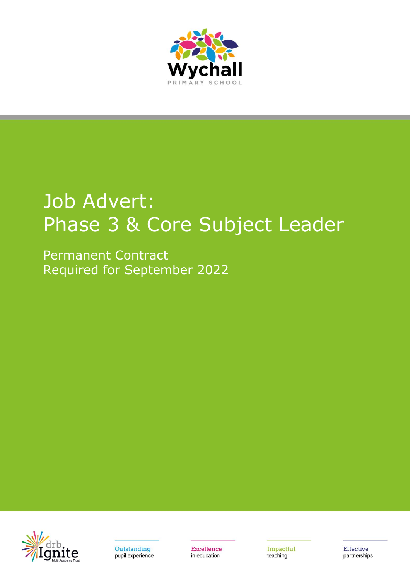

## Job Advert: Phase 3 & Core Subject Leader

Permanent Contract Required for September 2022





**Excellence** in education

Impactful teaching

**Effective** partnerships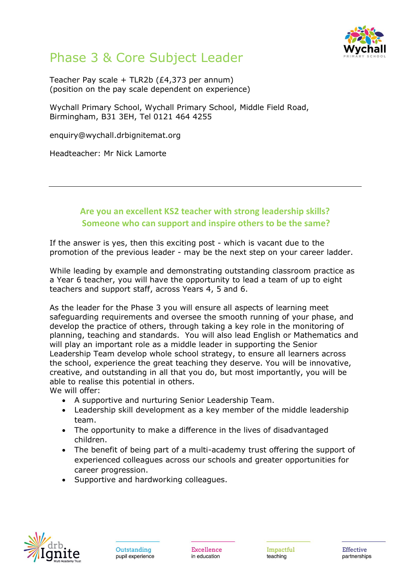

## Phase 3 & Core Subject Leader

Teacher Pay scale + TLR2b (£4,373 per annum) (position on the pay scale dependent on experience)

Wychall Primary School, Wychall Primary School, Middle Field Road, Birmingham, B31 3EH, Tel 0121 464 4255

enquiry@wychall.drbignitemat.org

Headteacher: Mr Nick Lamorte

## **Are you an excellent KS2 teacher with strong leadership skills? Someone who can support and inspire others to be the same?**

If the answer is yes, then this exciting post - which is vacant due to the promotion of the previous leader - may be the next step on your career ladder.

While leading by example and demonstrating outstanding classroom practice as a Year 6 teacher, you will have the opportunity to lead a team of up to eight teachers and support staff, across Years 4, 5 and 6.

As the leader for the Phase 3 you will ensure all aspects of learning meet safeguarding requirements and oversee the smooth running of your phase, and develop the practice of others, through taking a key role in the monitoring of planning, teaching and standards. You will also lead English or Mathematics and will play an important role as a middle leader in supporting the Senior Leadership Team develop whole school strategy, to ensure all learners across the school, experience the great teaching they deserve. You will be innovative, creative, and outstanding in all that you do, but most importantly, you will be able to realise this potential in others.

We will offer:

- A supportive and nurturing Senior Leadership Team.
- Leadership skill development as a key member of the middle leadership team.
- The opportunity to make a difference in the lives of disadvantaged children.
- The benefit of being part of a multi-academy trust offering the support of experienced colleagues across our schools and greater opportunities for career progression.
- Supportive and hardworking colleagues.